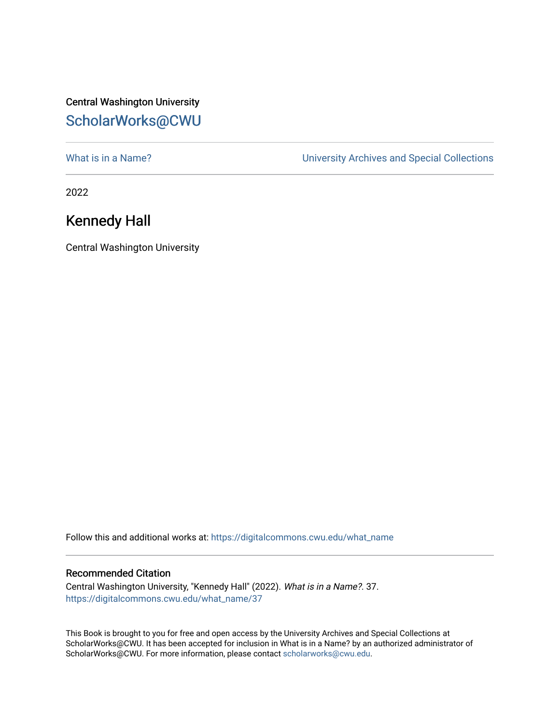## Central Washington University [ScholarWorks@CWU](https://digitalcommons.cwu.edu/)

What is in a Name?<br>
University Archives and Special Collections

2022

## Kennedy Hall

Central Washington University

Follow this and additional works at: [https://digitalcommons.cwu.edu/what\\_name](https://digitalcommons.cwu.edu/what_name?utm_source=digitalcommons.cwu.edu%2Fwhat_name%2F37&utm_medium=PDF&utm_campaign=PDFCoverPages) 

## Recommended Citation

Central Washington University, "Kennedy Hall" (2022). What is in a Name?. 37. [https://digitalcommons.cwu.edu/what\\_name/37](https://digitalcommons.cwu.edu/what_name/37?utm_source=digitalcommons.cwu.edu%2Fwhat_name%2F37&utm_medium=PDF&utm_campaign=PDFCoverPages) 

This Book is brought to you for free and open access by the University Archives and Special Collections at ScholarWorks@CWU. It has been accepted for inclusion in What is in a Name? by an authorized administrator of ScholarWorks@CWU. For more information, please contact [scholarworks@cwu.edu](mailto:scholarworks@cwu.edu).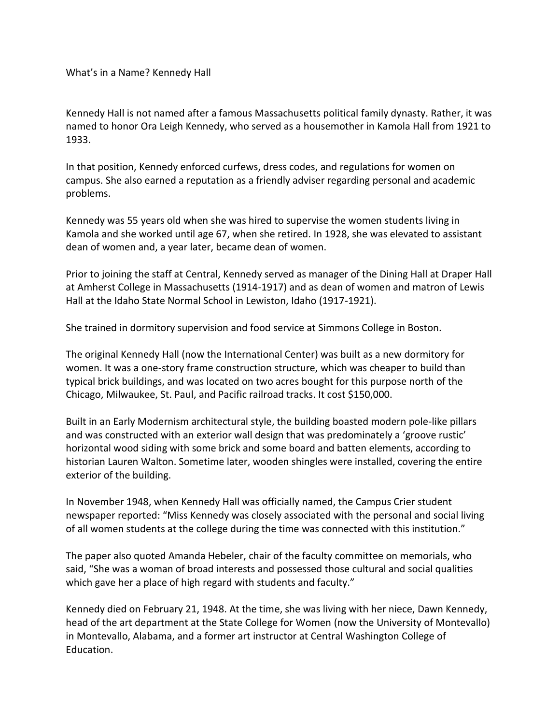What's in a Name? Kennedy Hall

Kennedy Hall is not named after a famous Massachusetts political family dynasty. Rather, it was named to honor Ora Leigh Kennedy, who served as a housemother in Kamola Hall from 1921 to 1933.

In that position, Kennedy enforced curfews, dress codes, and regulations for women on campus. She also earned a reputation as a friendly adviser regarding personal and academic problems.

Kennedy was 55 years old when she was hired to supervise the women students living in Kamola and she worked until age 67, when she retired. In 1928, she was elevated to assistant dean of women and, a year later, became dean of women.

Prior to joining the staff at Central, Kennedy served as manager of the Dining Hall at Draper Hall at Amherst College in Massachusetts (1914-1917) and as dean of women and matron of Lewis Hall at the Idaho State Normal School in Lewiston, Idaho (1917-1921).

She trained in dormitory supervision and food service at Simmons College in Boston.

The original Kennedy Hall (now the International Center) was built as a new dormitory for women. It was a one-story frame construction structure, which was cheaper to build than typical brick buildings, and was located on two acres bought for this purpose north of the Chicago, Milwaukee, St. Paul, and Pacific railroad tracks. It cost \$150,000.

Built in an Early Modernism architectural style, the building boasted modern pole-like pillars and was constructed with an exterior wall design that was predominately a 'groove rustic' horizontal wood siding with some brick and some board and batten elements, according to historian Lauren Walton. Sometime later, wooden shingles were installed, covering the entire exterior of the building.

In November 1948, when Kennedy Hall was officially named, the Campus Crier student newspaper reported: "Miss Kennedy was closely associated with the personal and social living of all women students at the college during the time was connected with this institution."

The paper also quoted Amanda Hebeler, chair of the faculty committee on memorials, who said, "She was a woman of broad interests and possessed those cultural and social qualities which gave her a place of high regard with students and faculty."

Kennedy died on February 21, 1948. At the time, she was living with her niece, Dawn Kennedy, head of the art department at the State College for Women (now the University of Montevallo) in Montevallo, Alabama, and a former art instructor at Central Washington College of Education.